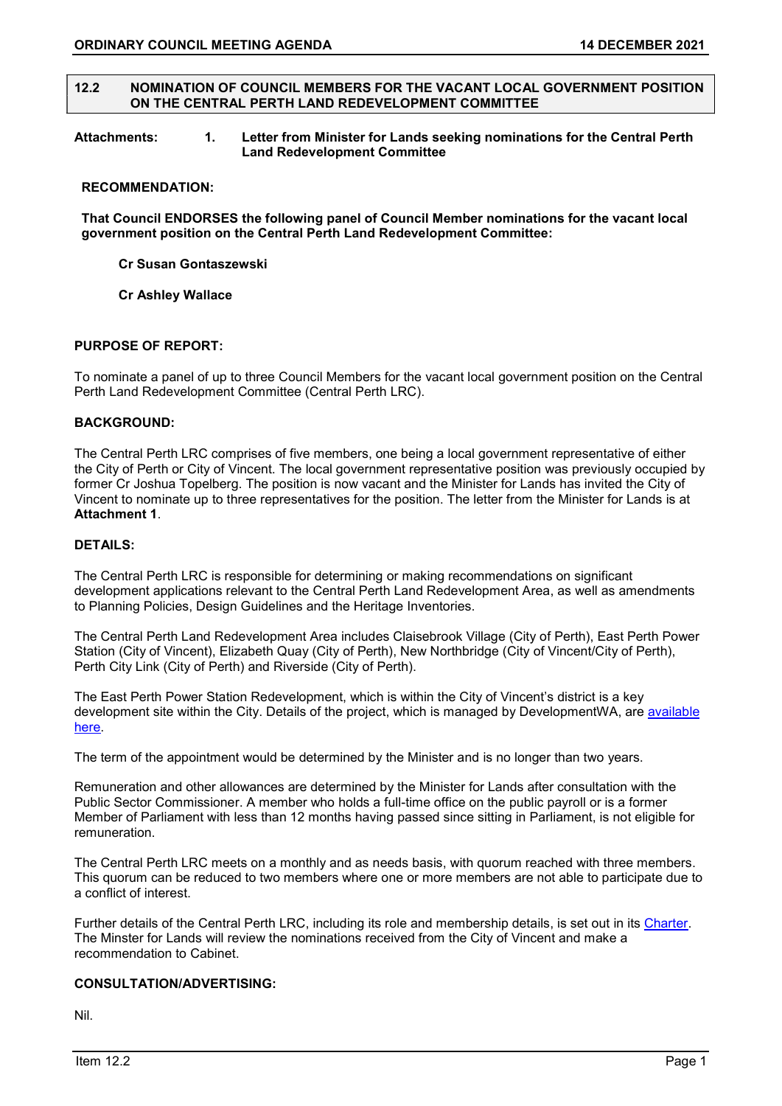### 12.2 NOMINATION OF COUNCIL MEMBERS FOR THE VACANT LOCAL GOVERNMENT POSITION ON THE CENTRAL PERTH LAND REDEVELOPMENT COMMITTEE

### Attachments: 1. Letter from Minister for Lands seeking nominations for the Central Perth Land Redevelopment Committee

#### RECOMMENDATION:

That Council ENDORSES the following panel of Council Member nominations for the vacant local government position on the Central Perth Land Redevelopment Committee:

# Cr Susan Gontaszewski

# Cr Ashley Wallace

# PURPOSE OF REPORT:

To nominate a panel of up to three Council Members for the vacant local government position on the Central Perth Land Redevelopment Committee (Central Perth LRC).

# BACKGROUND:

The Central Perth LRC comprises of five members, one being a local government representative of either the City of Perth or City of Vincent. The local government representative position was previously occupied by former Cr Joshua Topelberg. The position is now vacant and the Minister for Lands has invited the City of Vincent to nominate up to three representatives for the position. The letter from the Minister for Lands is at Attachment 1.

# DETAILS:

The Central Perth LRC is responsible for determining or making recommendations on significant development applications relevant to the Central Perth Land Redevelopment Area, as well as amendments to Planning Policies, Design Guidelines and the Heritage Inventories.

The Central Perth Land Redevelopment Area includes Claisebrook Village (City of Perth), East Perth Power Station (City of Vincent), Elizabeth Quay (City of Perth), New Northbridge (City of Vincent/City of Perth), Perth City Link (City of Perth) and Riverside (City of Perth).

The East Perth Power Station Redevelopment, which is within the City of Vincent's district is a key development site within the City. Details of the project, which is managed by DevelopmentWA, are available here.

The term of the appointment would be determined by the Minister and is no longer than two years.

Remuneration and other allowances are determined by the Minister for Lands after consultation with the Public Sector Commissioner. A member who holds a full-time office on the public payroll or is a former Member of Parliament with less than 12 months having passed since sitting in Parliament, is not eligible for remuneration.

The Central Perth LRC meets on a monthly and as needs basis, with quorum reached with three members. This quorum can be reduced to two members where one or more members are not able to participate due to a conflict of interest.

Further details of the Central Perth LRC, including its role and membership details, is set out in its Charter. The Minster for Lands will review the nominations received from the City of Vincent and make a recommendation to Cabinet.

# CONSULTATION/ADVERTISING:

Nil.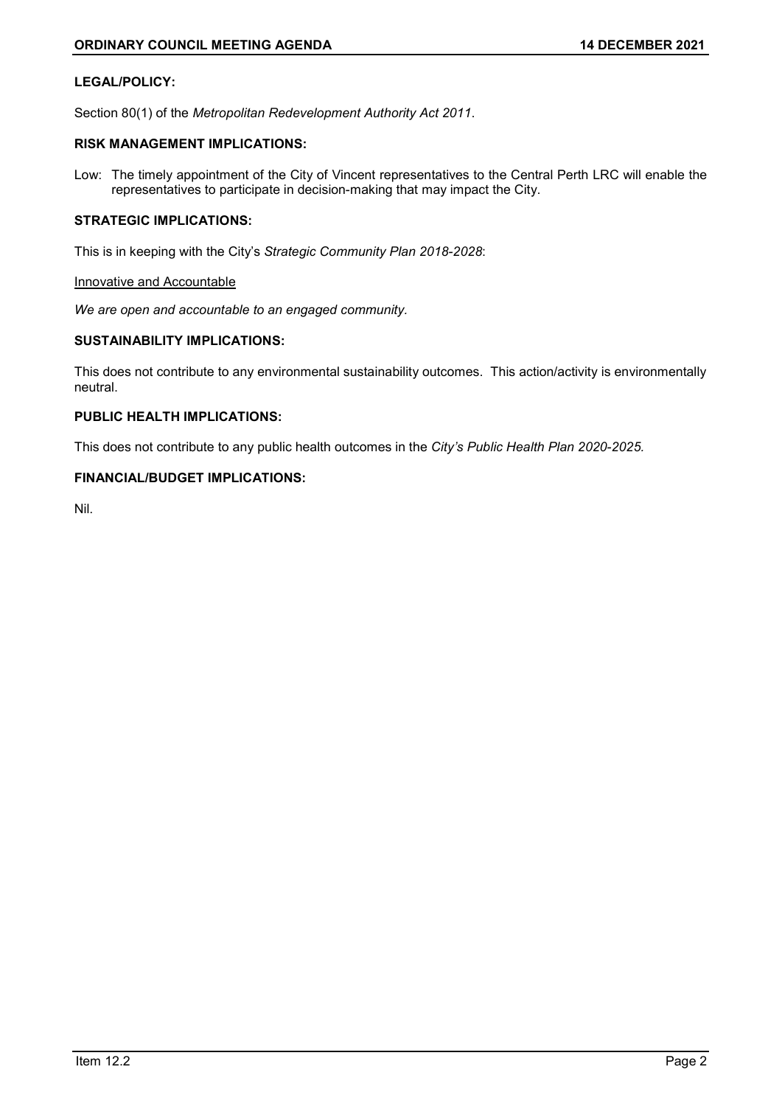# LEGAL/POLICY:

Section 80(1) of the Metropolitan Redevelopment Authority Act 2011.

# RISK MANAGEMENT IMPLICATIONS:

Low: The timely appointment of the City of Vincent representatives to the Central Perth LRC will enable the representatives to participate in decision-making that may impact the City.

# STRATEGIC IMPLICATIONS:

This is in keeping with the City's Strategic Community Plan 2018-2028:

### Innovative and Accountable

We are open and accountable to an engaged community.

# SUSTAINABILITY IMPLICATIONS:

This does not contribute to any environmental sustainability outcomes. This action/activity is environmentally neutral.

# PUBLIC HEALTH IMPLICATIONS:

This does not contribute to any public health outcomes in the City's Public Health Plan 2020-2025.

# FINANCIAL/BUDGET IMPLICATIONS:

Nil.